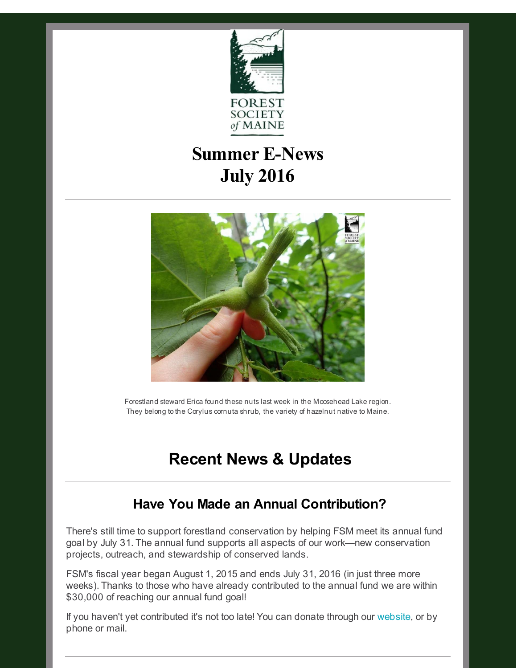

# **Summer E-News July 2016**



Forestland steward Erica found these nuts last week in the Moosehead Lake region. They belong to the Corylus cornuta shrub, the variety of hazelnut native to Maine.

## **Recent News & Updates**

### **Have You Made an Annual Contribution?**

There's still time to support forestland conservation by helping FSM meet its annual fund goal by July 31. The annual fund supports all aspects of our work—new conservation projects, outreach, and stewardship of conserved lands.

FSM's fiscal year began August 1, 2015 and ends July 31, 2016 (in just three more weeks). Thanks to those who have already contributed to the annual fund we are within \$30,000 of reaching our annual fund goal!

If you haven't yet contributed it's not too late! You can donate through our [website](http://r20.rs6.net/tn.jsp?f=0014QQoz7Jq8l8wIM8Ah8IHGjWuR269QcWXNs2uhYQMFts_h1Ub0AHcXMh09C8_DMI6xd-NLTm4jcwAa_JT9od355nW8GWVY5-yLiASEEOG1SO6o3TU-cv_L6gRNo6xxbSNpgwtNsg8BiHhRI_fyl6MZ8A9TdfEpfg7d3O3ghts6pU=&c=&ch=), or by phone or mail.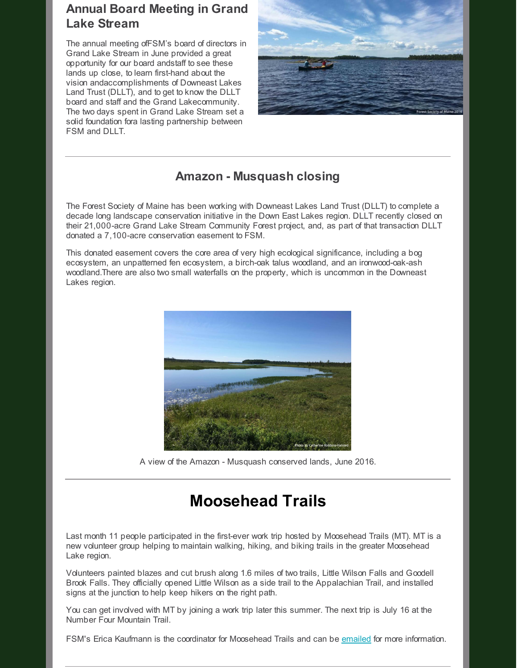#### **Annual Board Meeting in Grand Lake Stream**

The annual meeting ofFSM's board of directors in Grand Lake Stream in June provided a great opportunity for our board andstaff to see these lands up close, to learn first-hand about the vision andaccomplishments of Downeast Lakes Land Trust (DLLT), and to get to know the DLLT board and staff and the Grand Lakecommunity. The two days spent in Grand Lake Stream set a solid foundation fora lasting partnership between FSM and DLLT.



#### **Amazon - Musquash closing**

The Forest Society of Maine has been working with Downeast Lakes Land Trust (DLLT) to complete a decade long landscape conservation initiative in the Down East Lakes region. DLLT recently closed on their 21,000-acre Grand Lake Stream Community Forest project, and, as part of that transaction DLLT donated a 7,100-acre conservation easement to FSM.

This donated easement covers the core area of very high ecological significance, including a bog ecosystem, an unpatterned fen ecosystem, a birch-oak talus woodland, and an ironwood-oak-ash woodland.There are also two small waterfalls on the property, which is uncommon in the Downeast Lakes region.



A view of the Amazon - Musquash conserved lands, June 2016.

### **Moosehead Trails**

Last month 11 people participated in the first-ever work trip hosted by Moosehead Trails (MT). MT is a new volunteer group helping to maintain walking, hiking, and biking trails in the greater Moosehead Lake region.

Volunteers painted blazes and cut brush along 1.6 miles of two trails, Little Wilson Falls and Goodell Brook Falls. They officially opened Little Wilson as a side trail to the Appalachian Trail, and installed signs at the junction to help keep hikers on the right path.

You can get involved with MT by joining a work trip later this summer. The next trip is July 16 at the Number Four Mountain Trail.

FSM's Erica Kaufmann is the coordinator for Moosehead Trails and can be [emailed](mailto:erica@fsmaine.org) for more information.